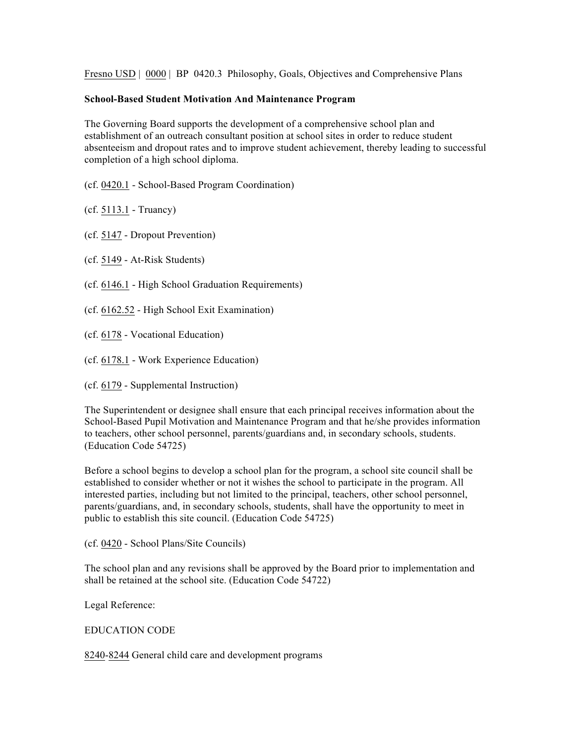Fresno USD | 0000 | BP 0420.3 Philosophy, Goals, Objectives and Comprehensive Plans

## **School-Based Student Motivation And Maintenance Program**

The Governing Board supports the development of a comprehensive school plan and establishment of an outreach consultant position at school sites in order to reduce student absenteeism and dropout rates and to improve student achievement, thereby leading to successful completion of a high school diploma.

(cf. 0420.1 - School-Based Program Coordination)

(cf. 5113.1 - Truancy)

(cf. 5147 - Dropout Prevention)

(cf. 5149 - At-Risk Students)

- (cf. 6146.1 High School Graduation Requirements)
- (cf. 6162.52 High School Exit Examination)
- (cf. 6178 Vocational Education)
- (cf. 6178.1 Work Experience Education)
- (cf. 6179 Supplemental Instruction)

The Superintendent or designee shall ensure that each principal receives information about the School-Based Pupil Motivation and Maintenance Program and that he/she provides information to teachers, other school personnel, parents/guardians and, in secondary schools, students. (Education Code 54725)

Before a school begins to develop a school plan for the program, a school site council shall be established to consider whether or not it wishes the school to participate in the program. All interested parties, including but not limited to the principal, teachers, other school personnel, parents/guardians, and, in secondary schools, students, shall have the opportunity to meet in public to establish this site council. (Education Code 54725)

(cf. 0420 - School Plans/Site Councils)

The school plan and any revisions shall be approved by the Board prior to implementation and shall be retained at the school site. (Education Code 54722)

Legal Reference:

## EDUCATION CODE

8240-8244 General child care and development programs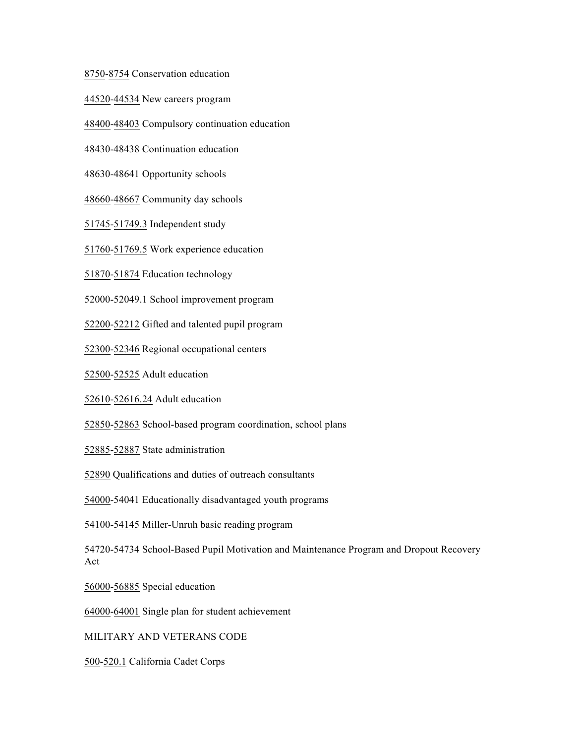8750-8754 Conservation education

44520-44534 New careers program

48400-48403 Compulsory continuation education

48430-48438 Continuation education

48630-48641 Opportunity schools

48660-48667 Community day schools

51745-51749.3 Independent study

51760-51769.5 Work experience education

51870-51874 Education technology

52000-52049.1 School improvement program

52200-52212 Gifted and talented pupil program

52300-52346 Regional occupational centers

52500-52525 Adult education

52610-52616.24 Adult education

52850-52863 School-based program coordination, school plans

52885-52887 State administration

52890 Qualifications and duties of outreach consultants

54000-54041 Educationally disadvantaged youth programs

54100-54145 Miller-Unruh basic reading program

54720-54734 School-Based Pupil Motivation and Maintenance Program and Dropout Recovery Act

56000-56885 Special education

64000-64001 Single plan for student achievement

MILITARY AND VETERANS CODE

500-520.1 California Cadet Corps